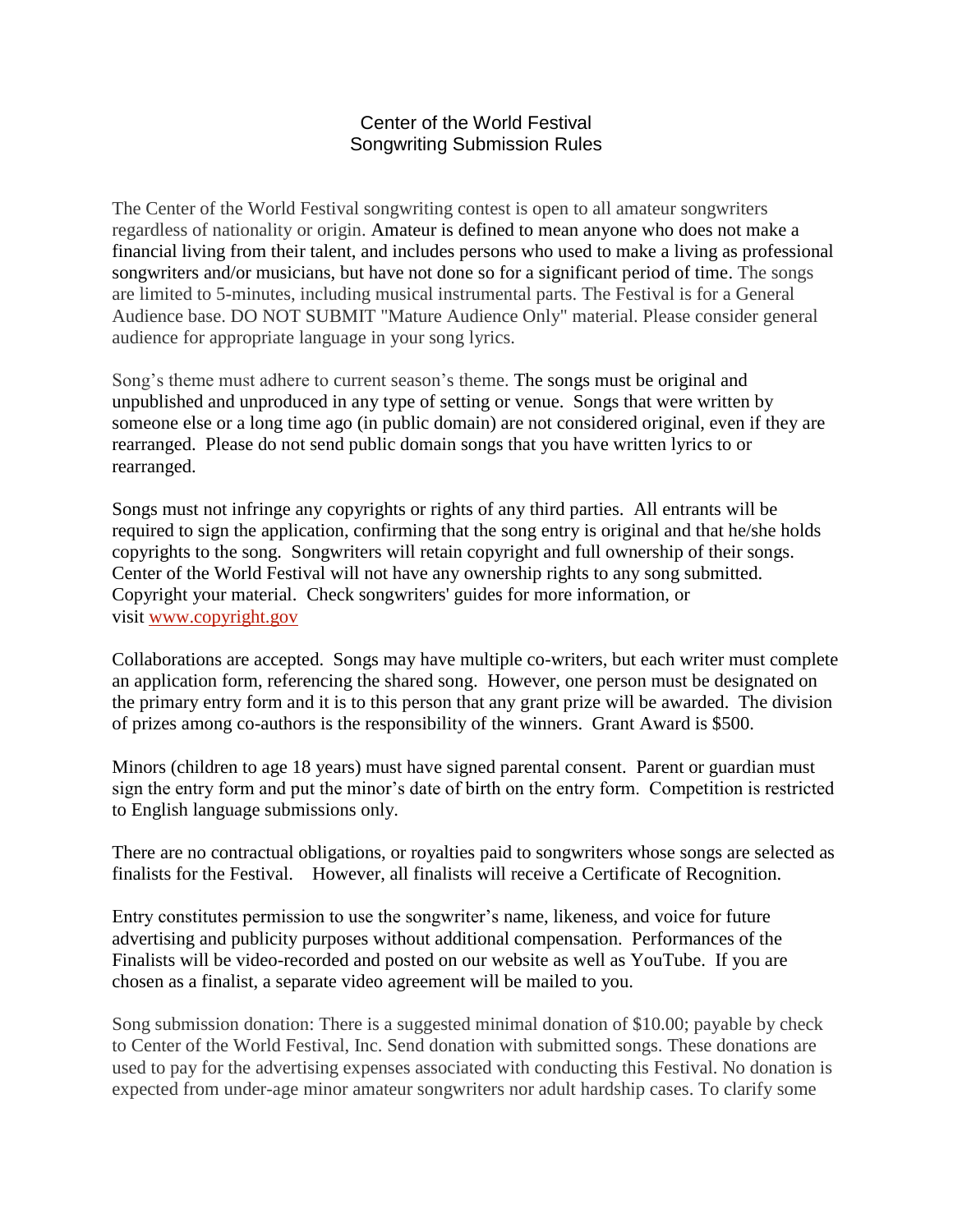## Center of the World Festival Songwriting Submission Rules

The Center of the World Festival songwriting contest is open to all amateur songwriters regardless of nationality or origin. Amateur is defined to mean anyone who does not make a financial living from their talent, and includes persons who used to make a living as professional songwriters and/or musicians, but have not done so for a significant period of time. The songs are limited to 5-minutes, including musical instrumental parts. The Festival is for a General Audience base. DO NOT SUBMIT "Mature Audience Only" material. Please consider general audience for appropriate language in your song lyrics.

Song's theme must adhere to current season's theme. The songs must be original and unpublished and unproduced in any type of setting or venue. Songs that were written by someone else or a long time ago (in public domain) are not considered original, even if they are rearranged. Please do not send public domain songs that you have written lyrics to or rearranged.

Songs must not infringe any copyrights or rights of any third parties. All entrants will be required to sign the application, confirming that the song entry is original and that he/she holds copyrights to the song. Songwriters will retain copyright and full ownership of their songs. Center of the World Festival will not have any ownership rights to any song submitted. Copyright your material. Check songwriters' guides for more information, or visit [www.copyright.gov](http://www.copyright.gov/)

Collaborations are accepted. Songs may have multiple co-writers, but each writer must complete an application form, referencing the shared song. However, one person must be designated on the primary entry form and it is to this person that any grant prize will be awarded. The division of prizes among co-authors is the responsibility of the winners. Grant Award is \$500.

Minors (children to age 18 years) must have signed parental consent. Parent or guardian must sign the entry form and put the minor's date of birth on the entry form. Competition is restricted to English language submissions only.

There are no contractual obligations, or royalties paid to songwriters whose songs are selected as finalists for the Festival. However, all finalists will receive a Certificate of Recognition.

Entry constitutes permission to use the songwriter's name, likeness, and voice for future advertising and publicity purposes without additional compensation. Performances of the Finalists will be video-recorded and posted on our website as well as YouTube. If you are chosen as a finalist, a separate video agreement will be mailed to you.

Song submission donation: There is a suggested minimal donation of \$10.00; payable by check to Center of the World Festival, Inc. Send donation with submitted songs. These donations are used to pay for the advertising expenses associated with conducting this Festival. No donation is expected from under-age minor amateur songwriters nor adult hardship cases. To clarify some